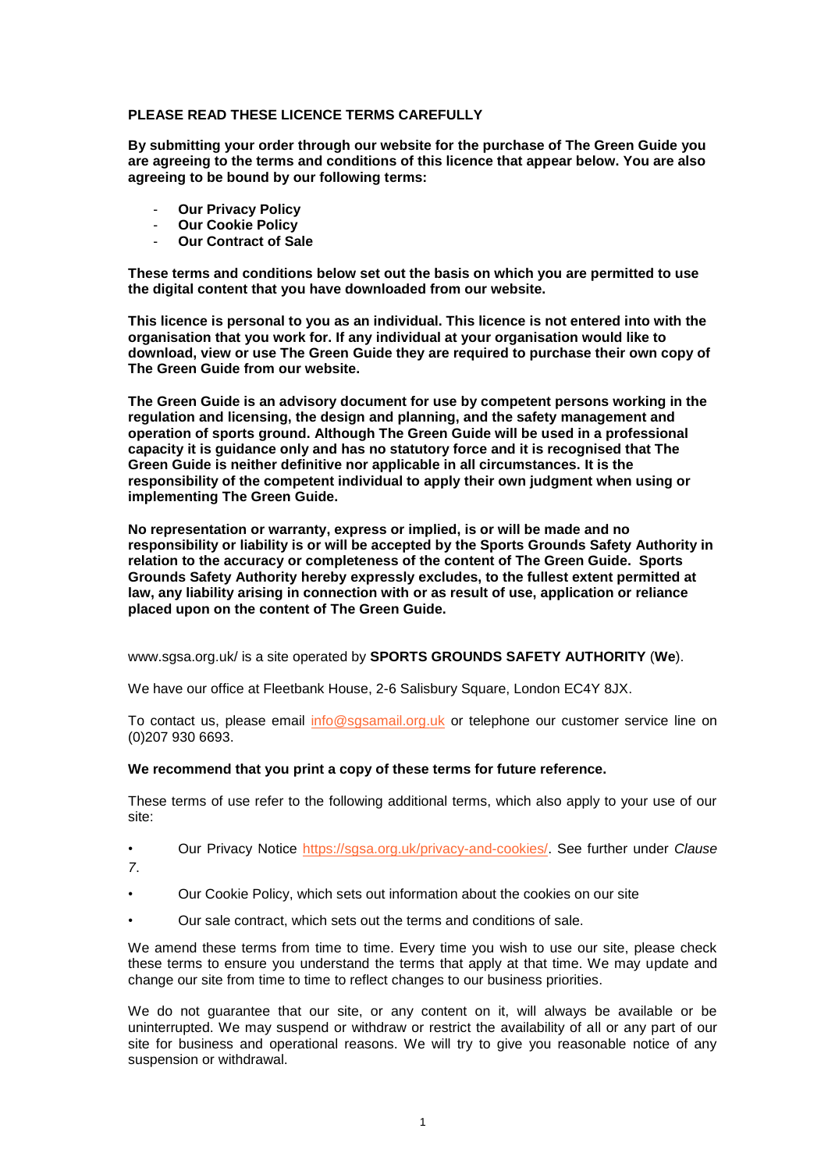## **PLEASE READ THESE LICENCE TERMS CAREFULLY**

**By submitting your order through our website for the purchase of The Green Guide you are agreeing to the terms and conditions of this licence that appear below. You are also agreeing to be bound by our following terms:**

- **Our Privacy Policy**
- **Our Cookie Policy**
- **Our Contract of Sale**

**These terms and conditions below set out the basis on which you are permitted to use the digital content that you have downloaded from our website.** 

**This licence is personal to you as an individual. This licence is not entered into with the organisation that you work for. If any individual at your organisation would like to download, view or use The Green Guide they are required to purchase their own copy of The Green Guide from our website.**

**The Green Guide is an advisory document for use by competent persons working in the regulation and licensing, the design and planning, and the safety management and operation of sports ground. Although The Green Guide will be used in a professional capacity it is guidance only and has no statutory force and it is recognised that The Green Guide is neither definitive nor applicable in all circumstances. It is the responsibility of the competent individual to apply their own judgment when using or implementing The Green Guide.**

**No representation or warranty, express or implied, is or will be made and no responsibility or liability is or will be accepted by the Sports Grounds Safety Authority in relation to the accuracy or completeness of the content of The Green Guide. Sports Grounds Safety Authority hereby expressly excludes, to the fullest extent permitted at law, any liability arising in connection with or as result of use, application or reliance placed upon on the content of The Green Guide.**

www.sgsa.org.uk/ is a site operated by **SPORTS GROUNDS SAFETY AUTHORITY** (**We**).

We have our office at Fleetbank House, 2-6 Salisbury Square, London EC4Y 8JX.

To contact us, please email [info@sgsamail.org.uk](mailto:info@sgsamail.org.uk) or telephone our customer service line on (0)207 930 6693.

### **We recommend that you print a copy of these terms for future reference.**

These terms of use refer to the following additional terms, which also apply to your use of our site:

• Our Privacy Notice [https://sgsa.org.uk/privacy-and-cookies/.](https://sgsa.org.uk/privacy-and-cookies/) See further under *Clause 7*.

- Our Cookie Policy, which sets out information about the cookies on our site
- Our sale contract, which sets out the terms and conditions of sale.

We amend these terms from time to time. Every time you wish to use our site, please check these terms to ensure you understand the terms that apply at that time. We may update and change our site from time to time to reflect changes to our business priorities.

We do not guarantee that our site, or any content on it, will always be available or be uninterrupted. We may suspend or withdraw or restrict the availability of all or any part of our site for business and operational reasons. We will try to give you reasonable notice of any suspension or withdrawal.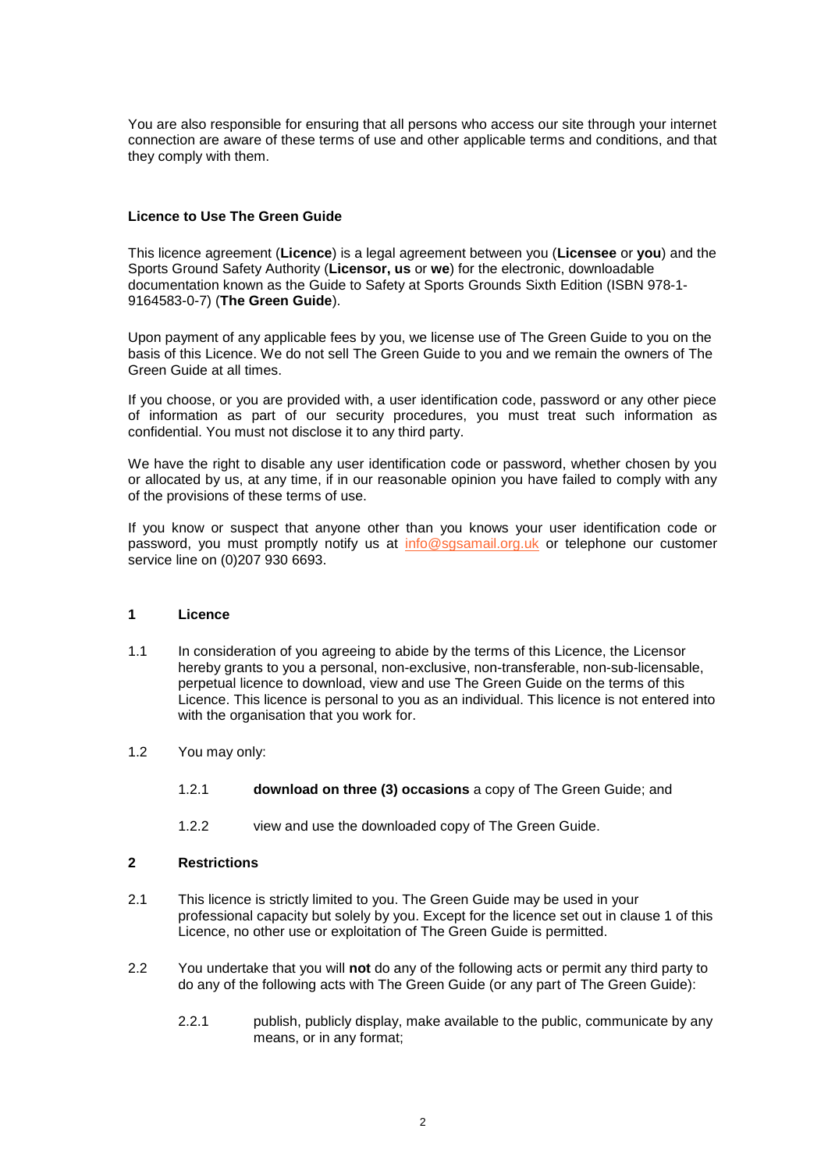You are also responsible for ensuring that all persons who access our site through your internet connection are aware of these terms of use and other applicable terms and conditions, and that they comply with them.

## **Licence to Use The Green Guide**

This licence agreement (**Licence**) is a legal agreement between you (**Licensee** or **you**) and the Sports Ground Safety Authority (**Licensor, us** or **we**) for the electronic, downloadable documentation known as the Guide to Safety at Sports Grounds Sixth Edition (ISBN 978-1- 9164583-0-7) (**The Green Guide**).

Upon payment of any applicable fees by you, we license use of The Green Guide to you on the basis of this Licence. We do not sell The Green Guide to you and we remain the owners of The Green Guide at all times.

If you choose, or you are provided with, a user identification code, password or any other piece of information as part of our security procedures, you must treat such information as confidential. You must not disclose it to any third party.

We have the right to disable any user identification code or password, whether chosen by you or allocated by us, at any time, if in our reasonable opinion you have failed to comply with any of the provisions of these terms of use.

If you know or suspect that anyone other than you knows your user identification code or password, you must promptly notify us at [info@sgsamail.org.uk](mailto:info@sgsamail.org.uk) or telephone our customer service line on (0)207 930 6693.

### **1 Licence**

- 1.1 In consideration of you agreeing to abide by the terms of this Licence, the Licensor hereby grants to you a personal, non-exclusive, non-transferable, non-sub-licensable, perpetual licence to download, view and use The Green Guide on the terms of this Licence. This licence is personal to you as an individual. This licence is not entered into with the organisation that you work for.
- 1.2 You may only:
	- 1.2.1 **download on three (3) occasions** a copy of The Green Guide; and
	- 1.2.2 view and use the downloaded copy of The Green Guide.

### **2 Restrictions**

- 2.1 This licence is strictly limited to you. The Green Guide may be used in your professional capacity but solely by you. Except for the licence set out in clause 1 of this Licence, no other use or exploitation of The Green Guide is permitted.
- 2.2 You undertake that you will **not** do any of the following acts or permit any third party to do any of the following acts with The Green Guide (or any part of The Green Guide):
	- 2.2.1 publish, publicly display, make available to the public, communicate by any means, or in any format;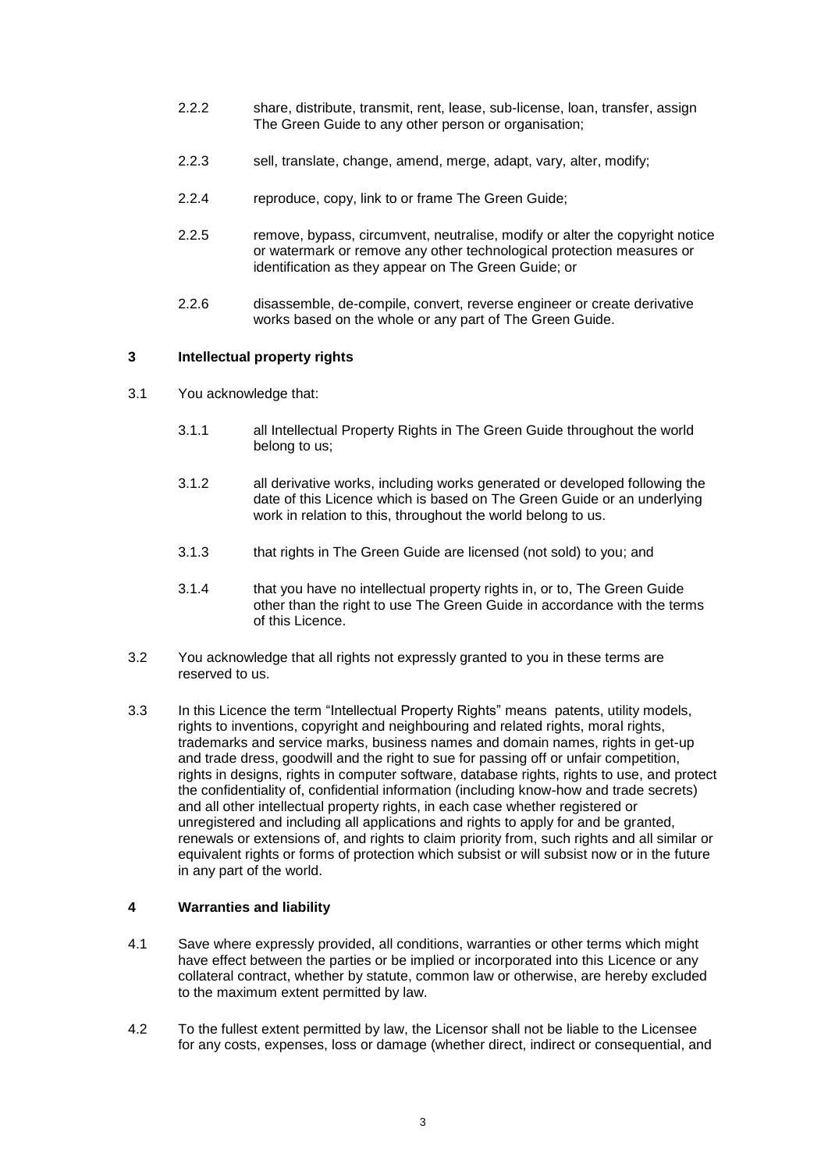- 2.2.2 share, distribute, transmit, rent, lease, sub-license, loan, transfer, assign The Green Guide to any other person or organisation;
- 2.2.3 sell, translate, change, amend, merge, adapt, vary, alter, modify;
- 2.2.4 reproduce, copy, link to or frame The Green Guide;
- 2.2.5 remove, bypass, circumvent, neutralise, modify or alter the copyright notice or watermark or remove any other technological protection measures or identification as they appear on The Green Guide; or
- 2.2.6 disassemble, de-compile, convert, reverse engineer or create derivative works based on the whole or any part of The Green Guide.

# **3 Intellectual property rights**

- 3.1 You acknowledge that:
	- 3.1.1 all Intellectual Property Rights in The Green Guide throughout the world belong to us;
	- 3.1.2 all derivative works, including works generated or developed following the date of this Licence which is based on The Green Guide or an underlying work in relation to this, throughout the world belong to us.
	- 3.1.3 that rights in The Green Guide are licensed (not sold) to you; and
	- 3.1.4 that you have no intellectual property rights in, or to, The Green Guide other than the right to use The Green Guide in accordance with the terms of this Licence.
- 3.2 You acknowledge that all rights not expressly granted to you in these terms are reserved to us.
- 3.3 In this Licence the term "Intellectual Property Rights" means patents, utility models, rights to inventions, copyright and neighbouring and related rights, moral rights, trademarks and service marks, business names and domain names, rights in get-up and trade dress, goodwill and the right to sue for passing off or unfair competition, rights in designs, rights in computer software, database rights, rights to use, and protect the confidentiality of, confidential information (including know-how and trade secrets) and all other intellectual property rights, in each case whether registered or unregistered and including all applications and rights to apply for and be granted, renewals or extensions of, and rights to claim priority from, such rights and all similar or equivalent rights or forms of protection which subsist or will subsist now or in the future in any part of the world.

# **4 Warranties and liability**

- 4.1 Save where expressly provided, all conditions, warranties or other terms which might have effect between the parties or be implied or incorporated into this Licence or any collateral contract, whether by statute, common law or otherwise, are hereby excluded to the maximum extent permitted by law.
- 4.2 To the fullest extent permitted by law, the Licensor shall not be liable to the Licensee for any costs, expenses, loss or damage (whether direct, indirect or consequential, and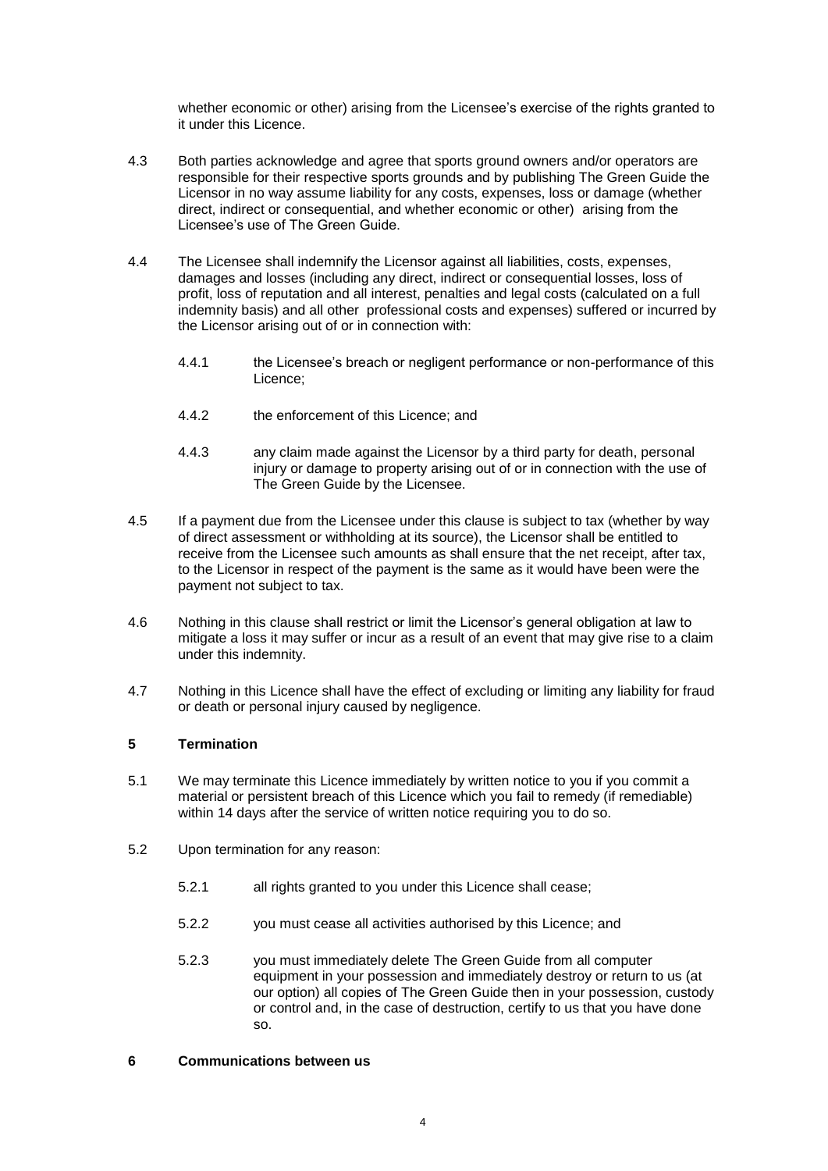whether economic or other) arising from the Licensee's exercise of the rights granted to it under this Licence.

- 4.3 Both parties acknowledge and agree that sports ground owners and/or operators are responsible for their respective sports grounds and by publishing The Green Guide the Licensor in no way assume liability for any costs, expenses, loss or damage (whether direct, indirect or consequential, and whether economic or other) arising from the Licensee's use of The Green Guide.
- 4.4 The Licensee shall indemnify the Licensor against all liabilities, costs, expenses, damages and losses (including any direct, indirect or consequential losses, loss of profit, loss of reputation and all interest, penalties and legal costs (calculated on a full indemnity basis) and all other professional costs and expenses) suffered or incurred by the Licensor arising out of or in connection with:
	- 4.4.1 the Licensee's breach or negligent performance or non-performance of this Licence;
	- 4.4.2 the enforcement of this Licence; and
	- 4.4.3 any claim made against the Licensor by a third party for death, personal injury or damage to property arising out of or in connection with the use of The Green Guide by the Licensee.
- 4.5 If a payment due from the Licensee under this clause is subject to tax (whether by way of direct assessment or withholding at its source), the Licensor shall be entitled to receive from the Licensee such amounts as shall ensure that the net receipt, after tax, to the Licensor in respect of the payment is the same as it would have been were the payment not subject to tax.
- 4.6 Nothing in this clause shall restrict or limit the Licensor's general obligation at law to mitigate a loss it may suffer or incur as a result of an event that may give rise to a claim under this indemnity.
- 4.7 Nothing in this Licence shall have the effect of excluding or limiting any liability for fraud or death or personal injury caused by negligence.

## **5 Termination**

- 5.1 We may terminate this Licence immediately by written notice to you if you commit a material or persistent breach of this Licence which you fail to remedy (if remediable) within 14 days after the service of written notice requiring you to do so.
- 5.2 Upon termination for any reason:
	- 5.2.1 all rights granted to you under this Licence shall cease;
	- 5.2.2 you must cease all activities authorised by this Licence; and
	- 5.2.3 you must immediately delete The Green Guide from all computer equipment in your possession and immediately destroy or return to us (at our option) all copies of The Green Guide then in your possession, custody or control and, in the case of destruction, certify to us that you have done so.

## **6 Communications between us**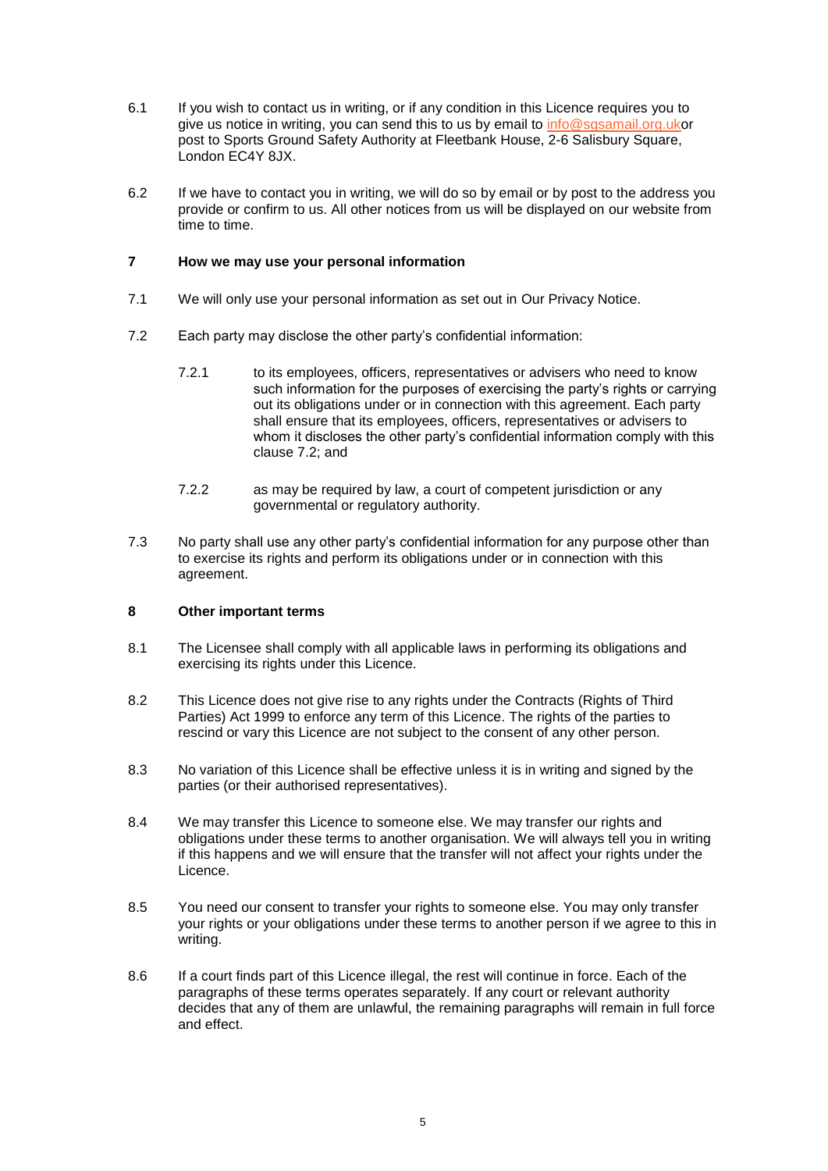- 6.1 If you wish to contact us in writing, or if any condition in this Licence requires you to give us notice in writing, you can send this to us by email to [info@sgsamail.org.uko](mailto:info@sgsamail.org.uk)r post to Sports Ground Safety Authority at Fleetbank House, 2-6 Salisbury Square, London EC4Y 8JX.
- 6.2 If we have to contact you in writing, we will do so by email or by post to the address you provide or confirm to us. All other notices from us will be displayed on our website from time to time.

## **7 How we may use your personal information**

- 7.1 We will only use your personal information as set out in Our Privacy Notice.
- 7.2 Each party may disclose the other party's confidential information:
	- 7.2.1 to its employees, officers, representatives or advisers who need to know such information for the purposes of exercising the party's rights or carrying out its obligations under or in connection with this agreement. Each party shall ensure that its employees, officers, representatives or advisers to whom it discloses the other party's confidential information comply with this clause 7.2; and
	- 7.2.2 as may be required by law, a court of competent jurisdiction or any governmental or regulatory authority.
- 7.3 No party shall use any other party's confidential information for any purpose other than to exercise its rights and perform its obligations under or in connection with this agreement.

### **8 Other important terms**

- 8.1 The Licensee shall comply with all applicable laws in performing its obligations and exercising its rights under this Licence.
- 8.2 This Licence does not give rise to any rights under the Contracts (Rights of Third Parties) Act 1999 to enforce any term of this Licence. The rights of the parties to rescind or vary this Licence are not subject to the consent of any other person.
- 8.3 No variation of this Licence shall be effective unless it is in writing and signed by the parties (or their authorised representatives).
- 8.4 We may transfer this Licence to someone else. We may transfer our rights and obligations under these terms to another organisation. We will always tell you in writing if this happens and we will ensure that the transfer will not affect your rights under the Licence.
- 8.5 You need our consent to transfer your rights to someone else. You may only transfer your rights or your obligations under these terms to another person if we agree to this in writing.
- 8.6 If a court finds part of this Licence illegal, the rest will continue in force. Each of the paragraphs of these terms operates separately. If any court or relevant authority decides that any of them are unlawful, the remaining paragraphs will remain in full force and effect.